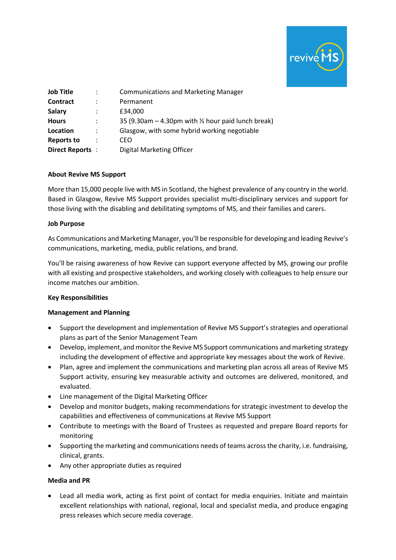

| <b>Job Title</b>  | :                    | <b>Communications and Marketing Manager</b>                     |
|-------------------|----------------------|-----------------------------------------------------------------|
| Contract          |                      | Permanent                                                       |
| <b>Salary</b>     | :                    | £34.000                                                         |
| <b>Hours</b>      | $\ddot{\cdot}$       | 35 (9.30am $-$ 4.30pm with $\frac{1}{2}$ hour paid lunch break) |
| Location          | $\ddot{\phantom{a}}$ | Glasgow, with some hybrid working negotiable                    |
| <b>Reports to</b> | $\ddot{\cdot}$       | CEO                                                             |
| Direct Reports:   |                      | Digital Marketing Officer                                       |
|                   |                      |                                                                 |

### **About Revive MS Support**

More than 15,000 people live with MS in Scotland, the highest prevalence of any country in the world. Based in Glasgow, Revive MS Support provides specialist multi-disciplinary services and support for those living with the disabling and debilitating symptoms of MS, and their families and carers.

## **Job Purpose**

As Communications and Marketing Manager, you'll be responsible for developing and leading Revive's communications, marketing, media, public relations, and brand.

You'll be raising awareness of how Revive can support everyone affected by MS, growing our profile with all existing and prospective stakeholders, and working closely with colleagues to help ensure our income matches our ambition.

# **Key Responsibilities**

### **Management and Planning**

- Support the development and implementation of Revive MS Support's strategies and operational plans as part of the Senior Management Team
- Develop, implement, and monitor the Revive MS Support communications and marketing strategy including the development of effective and appropriate key messages about the work of Revive.
- Plan, agree and implement the communications and marketing plan across all areas of Revive MS Support activity, ensuring key measurable activity and outcomes are delivered, monitored, and evaluated.
- Line management of the Digital Marketing Officer
- Develop and monitor budgets, making recommendations for strategic investment to develop the capabilities and effectiveness of communications at Revive MS Support
- Contribute to meetings with the Board of Trustees as requested and prepare Board reports for monitoring
- Supporting the marketing and communications needs of teams across the charity, i.e. fundraising, clinical, grants.
- Any other appropriate duties as required

### **Media and PR**

• Lead all media work, acting as first point of contact for media enquiries. Initiate and maintain excellent relationships with national, regional, local and specialist media, and produce engaging press releases which secure media coverage.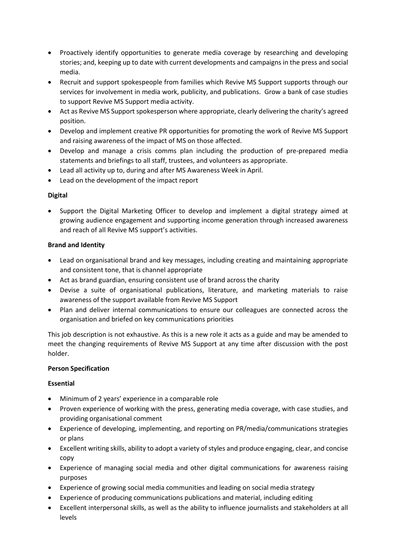- Proactively identify opportunities to generate media coverage by researching and developing stories; and, keeping up to date with current developments and campaigns in the press and social media.
- Recruit and support spokespeople from families which Revive MS Support supports through our services for involvement in media work, publicity, and publications. Grow a bank of case studies to support Revive MS Support media activity.
- Act as Revive MS Support spokesperson where appropriate, clearly delivering the charity's agreed position.
- Develop and implement creative PR opportunities for promoting the work of Revive MS Support and raising awareness of the impact of MS on those affected.
- Develop and manage a crisis comms plan including the production of pre-prepared media statements and briefings to all staff, trustees, and volunteers as appropriate.
- Lead all activity up to, during and after MS Awareness Week in April.
- Lead on the development of the impact report

# **Digital**

• Support the Digital Marketing Officer to develop and implement a digital strategy aimed at growing audience engagement and supporting income generation through increased awareness and reach of all Revive MS support's activities.

## **Brand and Identity**

- Lead on organisational brand and key messages, including creating and maintaining appropriate and consistent tone, that is channel appropriate
- Act as brand guardian, ensuring consistent use of brand across the charity
- Devise a suite of organisational publications, literature, and marketing materials to raise awareness of the support available from Revive MS Support
- Plan and deliver internal communications to ensure our colleagues are connected across the organisation and briefed on key communications priorities

This job description is not exhaustive. As this is a new role it acts as a guide and may be amended to meet the changing requirements of Revive MS Support at any time after discussion with the post holder.

### **Person Specification**

### **Essential**

- Minimum of 2 years' experience in a comparable role
- Proven experience of working with the press, generating media coverage, with case studies, and providing organisational comment
- Experience of developing, implementing, and reporting on PR/media/communications strategies or plans
- Excellent writing skills, ability to adopt a variety of styles and produce engaging, clear, and concise copy
- Experience of managing social media and other digital communications for awareness raising purposes
- Experience of growing social media communities and leading on social media strategy
- Experience of producing communications publications and material, including editing
- Excellent interpersonal skills, as well as the ability to influence journalists and stakeholders at all levels